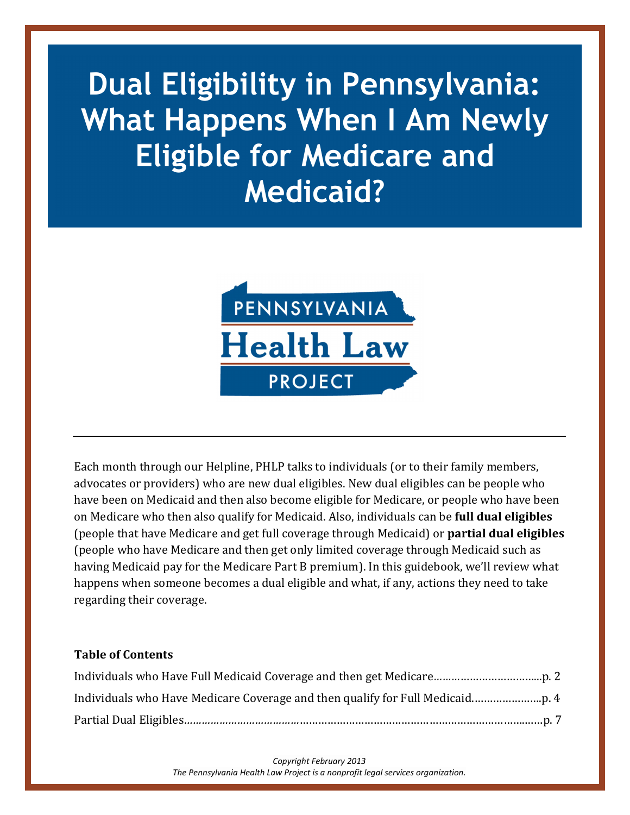# **Dual Eligibility in Pennsylvania: What Happens When I Am Newly Eligible for Medicare and Medicaid?**



Each month through our Helpline, PHLP talks to individuals (or to their family members, advocates or providers) who are new dual eligibles. New dual eligibles can be people who have been on Medicaid and then also become eligible for Medicare, or people who have been on Medicare who then also qualify for Medicaid. Also, individuals can be **full dual eligibles** (people that have Medicare and get full coverage through Medicaid) or **partial dual eligibles** (people who have Medicare and then get only limited coverage through Medicaid such as having Medicaid pay for the Medicare Part B premium). In this guidebook, we'll review what happens when someone becomes a dual eligible and what, if any, actions they need to take regarding their coverage.

#### **Table of Contents**

*Copyright February 2013 The Pennsylvania Health Law Project is a nonprofit legal services organization.*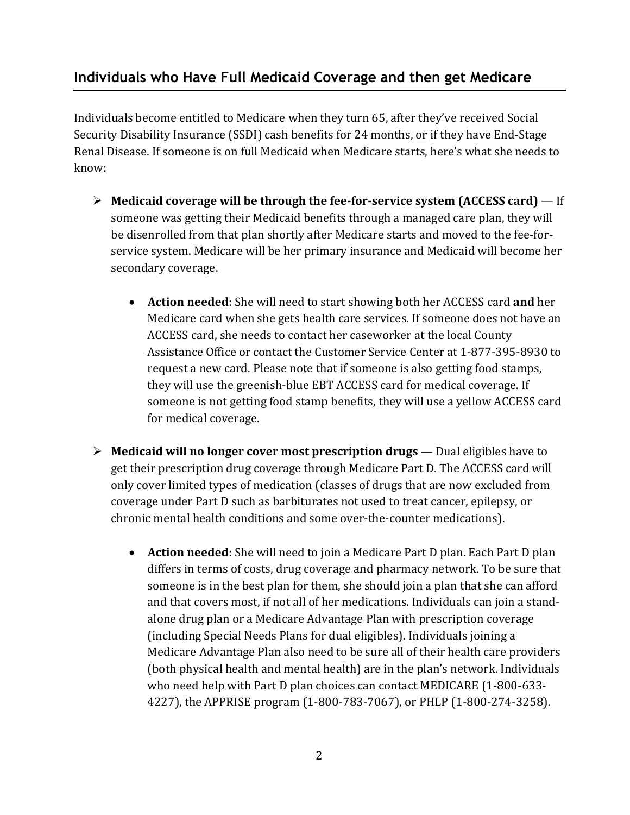## **Individuals who Have Full Medicaid Coverage and then get Medicare**

Individuals become entitled to Medicare when they turn 65, after they've received Social Security Disability Insurance (SSDI) cash benefits for 24 months, or if they have End-Stage Renal Disease. If someone is on full Medicaid when Medicare starts, here's what she needs to know:

- **Medicaid coverage will be through the fee-for-service system (ACCESS card)** If someone was getting their Medicaid benefits through a managed care plan, they will be disenrolled from that plan shortly after Medicare starts and moved to the fee-forservice system. Medicare will be her primary insurance and Medicaid will become her secondary coverage.
	- **Action needed**: She will need to start showing both her ACCESS card **and** her Medicare card when she gets health care services. If someone does not have an ACCESS card, she needs to contact her caseworker at the local County Assistance Office or contact the Customer Service Center at 1-877-395-8930 to request a new card. Please note that if someone is also getting food stamps, they will use the greenish-blue EBT ACCESS card for medical coverage. If someone is not getting food stamp benefits, they will use a yellow ACCESS card for medical coverage.
- **Medicaid will no longer cover most prescription drugs** Dual eligibles have to get their prescription drug coverage through Medicare Part D. The ACCESS card will only cover limited types of medication (classes of drugs that are now excluded from coverage under Part D such as barbiturates not used to treat cancer, epilepsy, or chronic mental health conditions and some over-the-counter medications).
	- **Action needed**: She will need to join a Medicare Part D plan. Each Part D plan differs in terms of costs, drug coverage and pharmacy network. To be sure that someone is in the best plan for them, she should join a plan that she can afford and that covers most, if not all of her medications. Individuals can join a standalone drug plan or a Medicare Advantage Plan with prescription coverage (including Special Needs Plans for dual eligibles). Individuals joining a Medicare Advantage Plan also need to be sure all of their health care providers (both physical health and mental health) are in the plan's network. Individuals who need help with Part D plan choices can contact MEDICARE (1-800-633- 4227), the APPRISE program (1-800-783-7067), or PHLP (1-800-274-3258).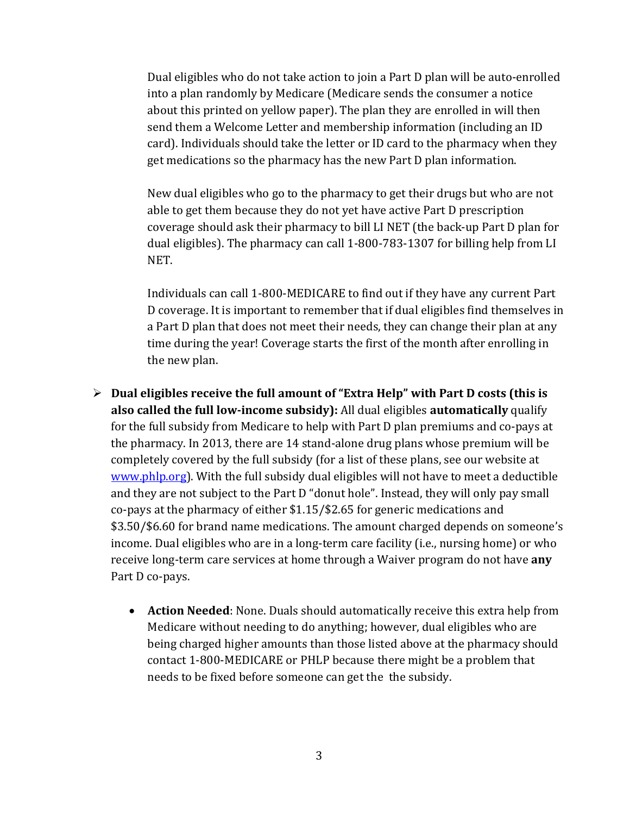Dual eligibles who do not take action to join a Part D plan will be auto-enrolled into a plan randomly by Medicare (Medicare sends the consumer a notice about this printed on yellow paper). The plan they are enrolled in will then send them a Welcome Letter and membership information (including an ID card). Individuals should take the letter or ID card to the pharmacy when they get medications so the pharmacy has the new Part D plan information.

New dual eligibles who go to the pharmacy to get their drugs but who are not able to get them because they do not yet have active Part D prescription coverage should ask their pharmacy to bill LI NET (the back-up Part D plan for dual eligibles). The pharmacy can call 1-800-783-1307 for billing help from LI NET.

Individuals can call 1-800-MEDICARE to find out if they have any current Part D coverage. It is important to remember that if dual eligibles find themselves in a Part D plan that does not meet their needs, they can change their plan at any time during the year! Coverage starts the first of the month after enrolling in the new plan.

- **Dual eligibles receive the full amount of "Extra Help" with Part D costs (this is also called the full low-income subsidy):** All dual eligibles **automatically** qualify for the full subsidy from Medicare to help with Part D plan premiums and co-pays at the pharmacy. In 2013, there are 14 stand-alone drug plans whose premium will be completely covered by the full subsidy (for a list of these plans, see our website at www.phlp.org). With the full subsidy dual eligibles will not have to meet a deductible and they are not subject to the Part D "donut hole". Instead, they will only pay small co-pays at the pharmacy of either \$1.15/\$2.65 for generic medications and \$3.50/\$6.60 for brand name medications. The amount charged depends on someone's income. Dual eligibles who are in a long-term care facility (i.e., nursing home) or who receive long-term care services at home through a Waiver program do not have **any** Part D co-pays.
	- **Action Needed**: None. Duals should automatically receive this extra help from Medicare without needing to do anything; however, dual eligibles who are being charged higher amounts than those listed above at the pharmacy should contact 1-800-MEDICARE or PHLP because there might be a problem that needs to be fixed before someone can get the the subsidy.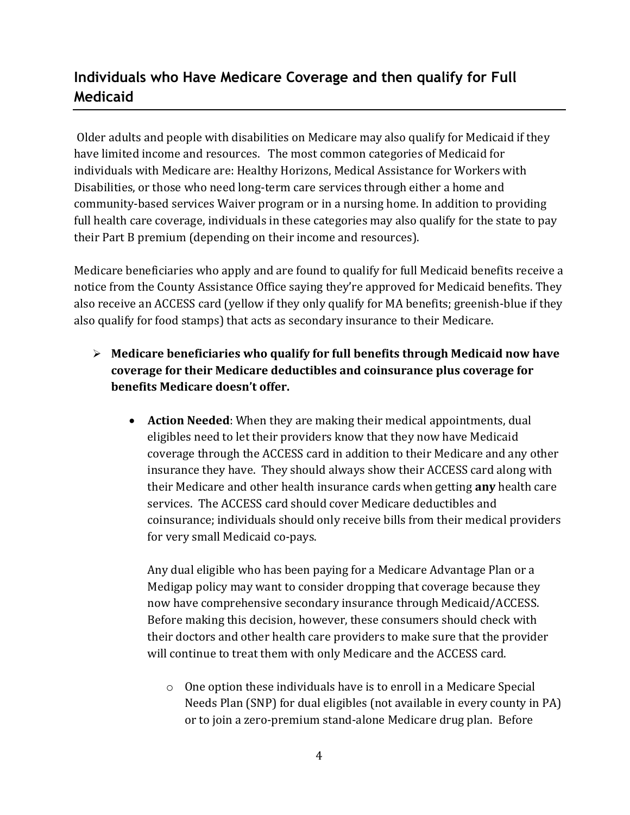## **Individuals who Have Medicare Coverage and then qualify for Full Medicaid**

 Older adults and people with disabilities on Medicare may also qualify for Medicaid if they have limited income and resources. The most common categories of Medicaid for individuals with Medicare are: Healthy Horizons, Medical Assistance for Workers with Disabilities, or those who need long-term care services through either a home and community-based services Waiver program or in a nursing home. In addition to providing full health care coverage, individuals in these categories may also qualify for the state to pay their Part B premium (depending on their income and resources).

Medicare beneficiaries who apply and are found to qualify for full Medicaid benefits receive a notice from the County Assistance Office saying they're approved for Medicaid benefits. They also receive an ACCESS card (yellow if they only qualify for MA benefits; greenish-blue if they also qualify for food stamps) that acts as secondary insurance to their Medicare.

- **Medicare beneficiaries who qualify for full benefits through Medicaid now have coverage for their Medicare deductibles and coinsurance plus coverage for benefits Medicare doesn't offer.**
	- **Action Needed**: When they are making their medical appointments, dual eligibles need to let their providers know that they now have Medicaid coverage through the ACCESS card in addition to their Medicare and any other insurance they have. They should always show their ACCESS card along with their Medicare and other health insurance cards when getting **any** health care services. The ACCESS card should cover Medicare deductibles and coinsurance; individuals should only receive bills from their medical providers for very small Medicaid co-pays.

Any dual eligible who has been paying for a Medicare Advantage Plan or a Medigap policy may want to consider dropping that coverage because they now have comprehensive secondary insurance through Medicaid/ACCESS. Before making this decision, however, these consumers should check with their doctors and other health care providers to make sure that the provider will continue to treat them with only Medicare and the ACCESS card.

o One option these individuals have is to enroll in a Medicare Special Needs Plan (SNP) for dual eligibles (not available in every county in PA) or to join a zero-premium stand-alone Medicare drug plan. Before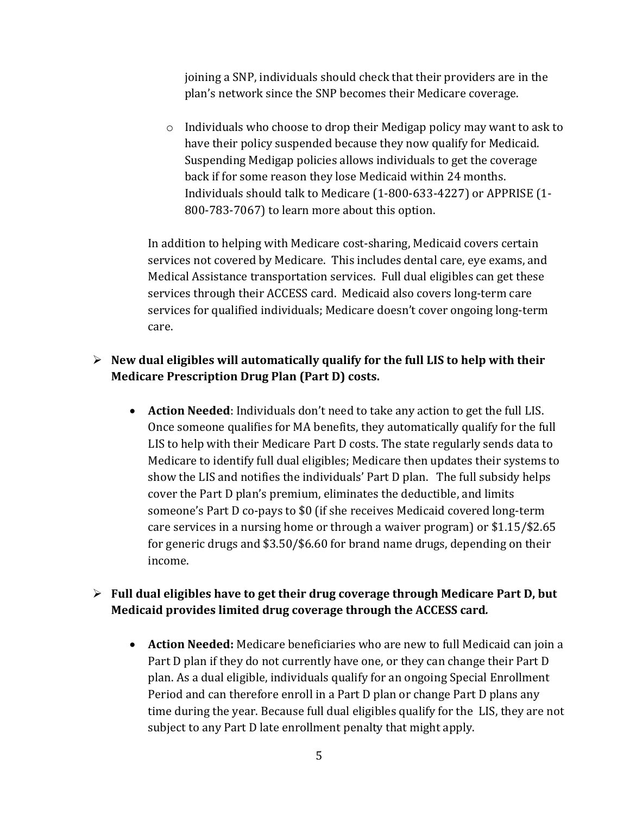joining a SNP, individuals should check that their providers are in the plan's network since the SNP becomes their Medicare coverage.

 $\circ$  Individuals who choose to drop their Medigap policy may want to ask to have their policy suspended because they now qualify for Medicaid. Suspending Medigap policies allows individuals to get the coverage back if for some reason they lose Medicaid within 24 months. Individuals should talk to Medicare (1-800-633-4227) or APPRISE (1- 800-783-7067) to learn more about this option.

In addition to helping with Medicare cost-sharing, Medicaid covers certain services not covered by Medicare. This includes dental care, eye exams, and Medical Assistance transportation services. Full dual eligibles can get these services through their ACCESS card. Medicaid also covers long-term care services for qualified individuals; Medicare doesn't cover ongoing long-term care.

#### **New dual eligibles will automatically qualify for the full LIS to help with their Medicare Prescription Drug Plan (Part D) costs.**

• **Action Needed**: Individuals don't need to take any action to get the full LIS. Once someone qualifies for MA benefits, they automatically qualify for the full LIS to help with their Medicare Part D costs. The state regularly sends data to Medicare to identify full dual eligibles; Medicare then updates their systems to show the LIS and notifies the individuals' Part D plan. The full subsidy helps cover the Part D plan's premium, eliminates the deductible, and limits someone's Part D co-pays to \$0 (if she receives Medicaid covered long-term care services in a nursing home or through a waiver program) or \$1.15/\$2.65 for generic drugs and \$3.50/\$6.60 for brand name drugs, depending on their income.

#### **Full dual eligibles have to get their drug coverage through Medicare Part D, but Medicaid provides limited drug coverage through the ACCESS card***.*

• **Action Needed:** Medicare beneficiaries who are new to full Medicaid can join a Part D plan if they do not currently have one, or they can change their Part D plan. As a dual eligible, individuals qualify for an ongoing Special Enrollment Period and can therefore enroll in a Part D plan or change Part D plans any time during the year. Because full dual eligibles qualify for the LIS, they are not subject to any Part D late enrollment penalty that might apply.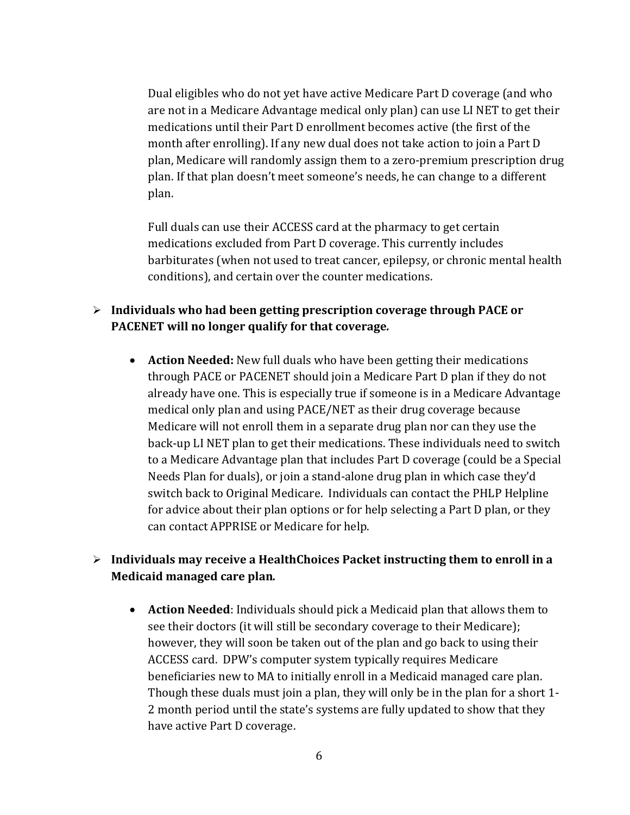Dual eligibles who do not yet have active Medicare Part D coverage (and who are not in a Medicare Advantage medical only plan) can use LI NET to get their medications until their Part D enrollment becomes active (the first of the month after enrolling). If any new dual does not take action to join a Part D plan, Medicare will randomly assign them to a zero-premium prescription drug plan. If that plan doesn't meet someone's needs, he can change to a different plan.

Full duals can use their ACCESS card at the pharmacy to get certain medications excluded from Part D coverage. This currently includes barbiturates (when not used to treat cancer, epilepsy, or chronic mental health conditions), and certain over the counter medications.

### **Individuals who had been getting prescription coverage through PACE or PACENET will no longer qualify for that coverage***.*

• **Action Needed:** New full duals who have been getting their medications through PACE or PACENET should join a Medicare Part D plan if they do not already have one. This is especially true if someone is in a Medicare Advantage medical only plan and using PACE/NET as their drug coverage because Medicare will not enroll them in a separate drug plan nor can they use the back-up LI NET plan to get their medications. These individuals need to switch to a Medicare Advantage plan that includes Part D coverage (could be a Special Needs Plan for duals), or join a stand-alone drug plan in which case they'd switch back to Original Medicare. Individuals can contact the PHLP Helpline for advice about their plan options or for help selecting a Part D plan, or they can contact APPRISE or Medicare for help.

### **Individuals may receive a HealthChoices Packet instructing them to enroll in a Medicaid managed care plan***.*

• **Action Needed**: Individuals should pick a Medicaid plan that allows them to see their doctors (it will still be secondary coverage to their Medicare); however, they will soon be taken out of the plan and go back to using their ACCESS card. DPW's computer system typically requires Medicare beneficiaries new to MA to initially enroll in a Medicaid managed care plan. Though these duals must join a plan, they will only be in the plan for a short 1- 2 month period until the state's systems are fully updated to show that they have active Part D coverage.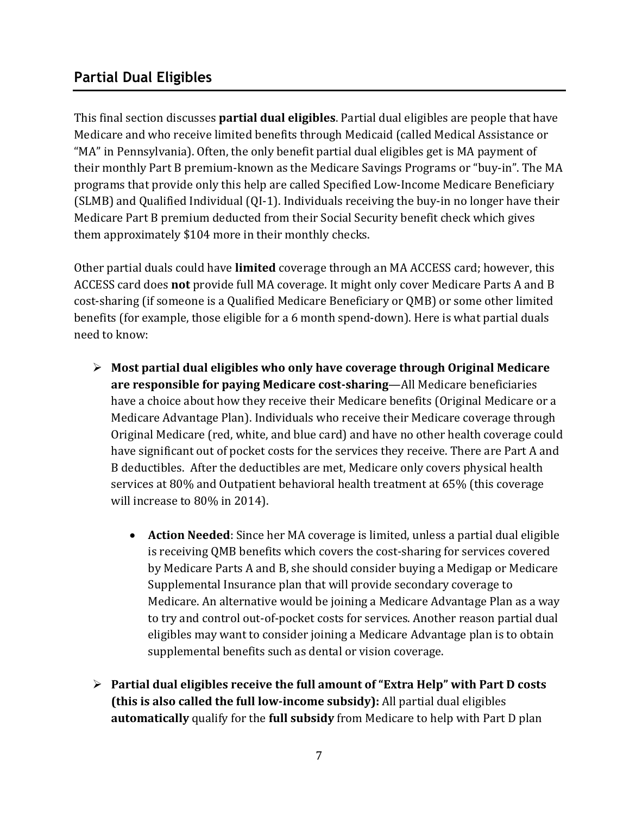## **Partial Dual Eligibles**

This final section discusses **partial dual eligibles**. Partial dual eligibles are people that have Medicare and who receive limited benefits through Medicaid (called Medical Assistance or "MA" in Pennsylvania). Often, the only benefit partial dual eligibles get is MA payment of their monthly Part B premium-known as the Medicare Savings Programs or "buy-in". The MA programs that provide only this help are called Specified Low-Income Medicare Beneficiary (SLMB) and Qualified Individual (QI-1). Individuals receiving the buy-in no longer have their Medicare Part B premium deducted from their Social Security benefit check which gives them approximately \$104 more in their monthly checks.

Other partial duals could have **limited** coverage through an MA ACCESS card; however, this ACCESS card does **not** provide full MA coverage. It might only cover Medicare Parts A and B cost-sharing (if someone is a Qualified Medicare Beneficiary or QMB) or some other limited benefits (for example, those eligible for a 6 month spend-down). Here is what partial duals need to know:

- **Most partial dual eligibles who only have coverage through Original Medicare are responsible for paying Medicare cost-sharing**—All Medicare beneficiaries have a choice about how they receive their Medicare benefits (Original Medicare or a Medicare Advantage Plan). Individuals who receive their Medicare coverage through Original Medicare (red, white, and blue card) and have no other health coverage could have significant out of pocket costs for the services they receive. There are Part A and B deductibles. After the deductibles are met, Medicare only covers physical health services at 80% and Outpatient behavioral health treatment at 65% (this coverage will increase to 80% in 2014).
	- **Action Needed**: Since her MA coverage is limited, unless a partial dual eligible is receiving QMB benefits which covers the cost-sharing for services covered by Medicare Parts A and B, she should consider buying a Medigap or Medicare Supplemental Insurance plan that will provide secondary coverage to Medicare. An alternative would be joining a Medicare Advantage Plan as a way to try and control out-of-pocket costs for services. Another reason partial dual eligibles may want to consider joining a Medicare Advantage plan is to obtain supplemental benefits such as dental or vision coverage.
- **Partial dual eligibles receive the full amount of "Extra Help" with Part D costs (this is also called the full low-income subsidy):** All partial dual eligibles **automatically** qualify for the **full subsidy** from Medicare to help with Part D plan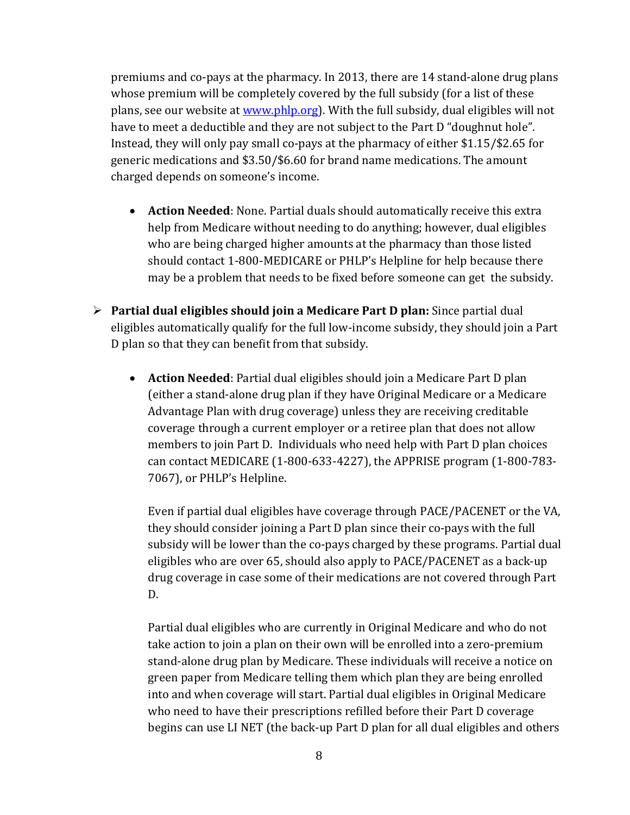premiums and co-pays at the pharmacy. In 2013, there are 14 stand-alone drug plans whose premium will be completely covered by the full subsidy (for a list of these plans, see our website at www.phlp.org). With the full subsidy, dual eligibles will not have to meet a deductible and they are not subject to the Part D "doughnut hole". Instead, they will only pay small co-pays at the pharmacy of either \$1.15/\$2.65 for generic medications and \$3.50/\$6.60 for brand name medications. The amount charged depends on someone's income.

- **Action Needed**: None. Partial duals should automatically receive this extra help from Medicare without needing to do anything; however, dual eligibles who are being charged higher amounts at the pharmacy than those listed should contact 1-800-MEDICARE or PHLP's Helpline for help because there may be a problem that needs to be fixed before someone can get the subsidy.
- **Partial dual eligibles should join a Medicare Part D plan:** Since partial dual eligibles automatically qualify for the full low-income subsidy, they should join a Part D plan so that they can benefit from that subsidy.
	- **Action Needed**: Partial dual eligibles should join a Medicare Part D plan (either a stand-alone drug plan if they have Original Medicare or a Medicare Advantage Plan with drug coverage) unless they are receiving creditable coverage through a current employer or a retiree plan that does not allow members to join Part D. Individuals who need help with Part D plan choices can contact MEDICARE (1-800-633-4227), the APPRISE program (1-800-783- 7067), or PHLP's Helpline.

Even if partial dual eligibles have coverage through PACE/PACENET or the VA, they should consider joining a Part D plan since their co-pays with the full subsidy will be lower than the co-pays charged by these programs. Partial dual eligibles who are over 65, should also apply to PACE/PACENET as a back-up drug coverage in case some of their medications are not covered through Part D.

Partial dual eligibles who are currently in Original Medicare and who do not take action to join a plan on their own will be enrolled into a zero-premium stand-alone drug plan by Medicare. These individuals will receive a notice on green paper from Medicare telling them which plan they are being enrolled into and when coverage will start. Partial dual eligibles in Original Medicare who need to have their prescriptions refilled before their Part D coverage begins can use LI NET (the back-up Part D plan for all dual eligibles and others